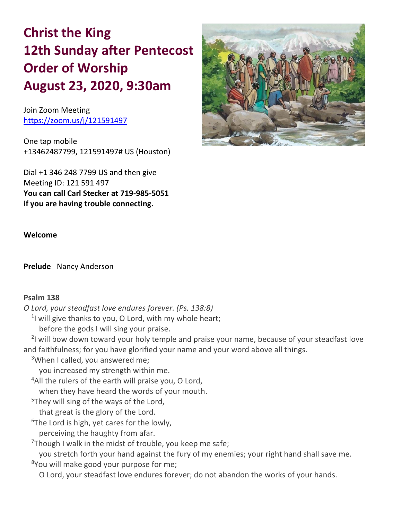# **Christ the King 12th Sunday after Pentecost Order of Worship August 23, 2020, 9:30am**

Join Zoom Meeting <https://zoom.us/j/121591497>

One tap mobile +13462487799, 121591497# US (Houston)

Dial +1 346 248 7799 US and then give Meeting ID: 121 591 497 **You can call Carl Stecker at 719-985-5051 if you are having trouble connecting.**



# **Welcome**

**Prelude** Nancy Anderson

# **Psalm 138**

*O Lord, your steadfast love endures forever. (Ps. 138:8)*

<sup>1</sup>I will give thanks to you, O Lord, with my whole heart;

before the gods I will sing your praise.

<sup>2</sup>I will bow down toward your holy temple and praise your name, because of your steadfast love and faithfulness; for you have glorified your name and your word above all things.

<sup>3</sup>When I called, you answered me;

you increased my strength within me.

<sup>4</sup>All the rulers of the earth will praise you, O Lord,

when they have heard the words of your mouth.

<sup>5</sup>They will sing of the ways of the Lord,

that great is the glory of the Lord.

 $6$ The Lord is high, yet cares for the lowly,

perceiving the haughty from afar.

 $7$ Though I walk in the midst of trouble, you keep me safe;

you stretch forth your hand against the fury of my enemies; your right hand shall save me. <sup>8</sup>You will make good your purpose for me;

O Lord, your steadfast love endures forever; do not abandon the works of your hands.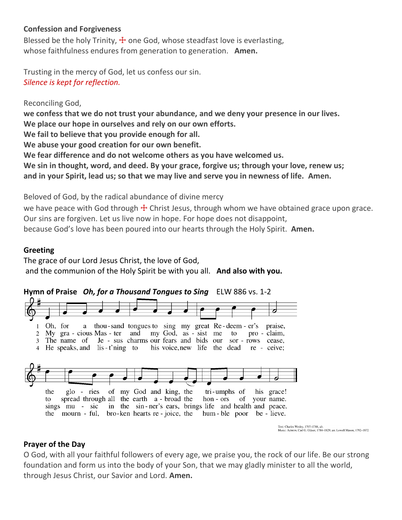# **Confession and Forgiveness**

Blessed be the holy Trinity,  $\pm$  one God, whose steadfast love is everlasting, whose faithfulness endures from generation to generation. **Amen.**

Trusting in the mercy of God, let us confess our sin. *Silence is kept for reflection.*

Reconciling God,

**we confess that we do not trust your abundance, and we deny your presence in our lives.**

**We place our hope in ourselves and rely on our own efforts.**

**We fail to believe that you provide enough for all.**

**We abuse your good creation for our own benefit.**

**We fear difference and do not welcome others as you have welcomed us.**

**We sin in thought, word, and deed. By your grace, forgive us; through your love, renew us; and in your Spirit, lead us; so that we may live and serve you in newness of life. Amen.**

Beloved of God, by the radical abundance of divine mercy

we have peace with God through  $\pm$  Christ Jesus, through whom we have obtained grace upon grace. Our sins are forgiven. Let us live now in hope. For hope does not disappoint, because God's love has been poured into our hearts through the Holy Spirit. **Amen.**

### **Greeting**

The grace of our Lord Jesus Christ, the love of God, and the communion of the Holy Spirit be with you all. **And also with you.**





Text: Charles Wesley, 1707-1788, alt.<br>Music: Аzмо́н, Carl G. Gläser, 1784-1829; arr. Lowell Mason, 1792-1872

#### **Prayer of the Day**

O God, with all your faithful followers of every age, we praise you, the rock of our life. Be our strong foundation and form us into the body of your Son, that we may gladly minister to all the world, through Jesus Christ, our Savior and Lord. **Amen.**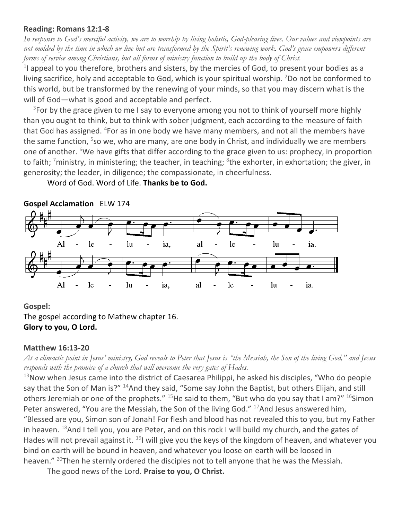# **Reading: Romans 12:1-8**

*In response to God's merciful activity, we are to worship by living holistic, God-pleasing lives. Our values and viewpoints are not molded by the time in which we live but are transformed by the Spirit's renewing work. God's grace empowers different forms of service among Christians, but all forms of ministry function to build up the body of Christ.*

 $<sup>1</sup>$  appeal to you therefore, brothers and sisters, by the mercies of God, to present your bodies as a</sup> living sacrifice, holy and acceptable to God, which is your spiritual worship. <sup>2</sup>Do not be conformed to this world, but be transformed by the renewing of your minds, so that you may discern what is the will of God—what is good and acceptable and perfect.

 $3$ For by the grace given to me I say to everyone among you not to think of yourself more highly than you ought to think, but to think with sober judgment, each according to the measure of faith that God has assigned. <sup>4</sup>For as in one body we have many members, and not all the members have the same function, <sup>5</sup>so we, who are many, are one body in Christ, and individually we are members one of another. <sup>6</sup>We have gifts that differ according to the grace given to us: prophecy, in proportion to faith; <sup>7</sup>ministry, in ministering; the teacher, in teaching; <sup>8</sup>the exhorter, in exhortation; the giver, in generosity; the leader, in diligence; the compassionate, in cheerfulness.

Word of God. Word of Life. **Thanks be to God.**



# **Gospel:**

The gospel according to Mathew chapter 16. **Glory to you, O Lord.**

# **Matthew 16:13-20**

*At a climactic point in Jesus' ministry, God reveals to Peter that Jesus is "the Messiah, the Son of the living God," and Jesus responds with the promise of a church that will overcome the very gates of Hades.*

 $13$ Now when Jesus came into the district of Caesarea Philippi, he asked his disciples, "Who do people say that the Son of Man is?" <sup>14</sup>And they said, "Some say John the Baptist, but others Elijah, and still others Jeremiah or one of the prophets." <sup>15</sup>He said to them, "But who do you say that I am?" <sup>16</sup>Simon Peter answered, "You are the Messiah, the Son of the living God."  $17$ And Jesus answered him, "Blessed are you, Simon son of Jonah! For flesh and blood has not revealed this to you, but my Father in heaven.  $^{18}$ And I tell you, you are Peter, and on this rock I will build my church, and the gates of Hades will not prevail against it.  $^{19}$ I will give you the keys of the kingdom of heaven, and whatever you bind on earth will be bound in heaven, and whatever you loose on earth will be loosed in heaven." <sup>20</sup>Then he sternly ordered the disciples not to tell anyone that he was the Messiah.

The good news of the Lord. **Praise to you, O Christ.**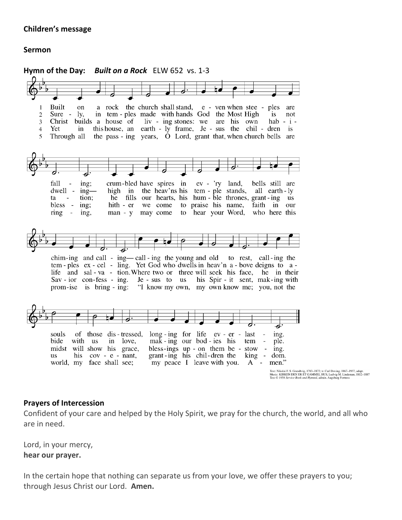# **Children's message**

### **Sermon**



#### **Prayers of Intercession**

Confident of your care and helped by the Holy Spirit, we pray for the church, the world, and all who are in need.

Lord, in your mercy, **hear our prayer.**

In the certain hope that nothing can separate us from your love, we offer these prayers to you; through Jesus Christ our Lord. **Amen.**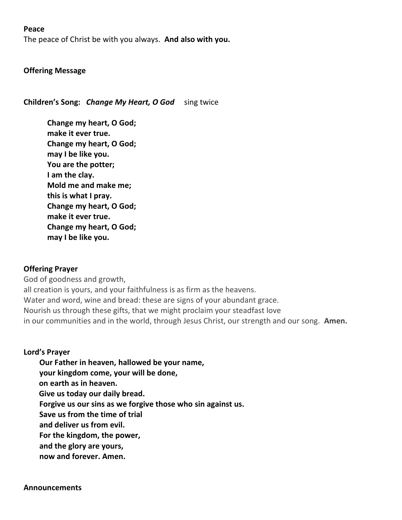### **Peace**

The peace of Christ be with you always. **And also with you.**

### **Offering Message**

**Children's Song:** *Change My Heart, O God* sing twice

**Change my heart, O God; make it ever true. Change my heart, O God; may I be like you. You are the potter; I am the clay. Mold me and make me; this is what I pray. Change my heart, O God; make it ever true. Change my heart, O God; may I be like you.**

#### **Offering Prayer**

God of goodness and growth, all creation is yours, and your faithfulness is as firm as the heavens. Water and word, wine and bread: these are signs of your abundant grace. Nourish us through these gifts, that we might proclaim your steadfast love in our communities and in the world, through Jesus Christ, our strength and our song. **Amen.**

#### **Lord's Prayer**

- **Our Father in heaven, hallowed be your name,**
- **your kingdom come, your will be done,**
- **on earth as in heaven.**
- **Give us today our daily bread.**
- **Forgive us our sins as we forgive those who sin against us.**
- **Save us from the time of trial**
- **and deliver us from evil.**
- **For the kingdom, the power,**
- **and the glory are yours,**
- **now and forever. Amen.**